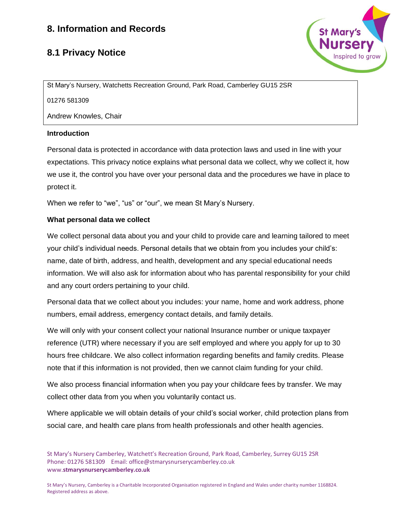## **8.1 Privacy Notice**



St Mary's Nursery, Watchetts Recreation Ground, Park Road, Camberley GU15 2SR

01276 581309

Andrew Knowles, Chair

#### **Introduction**

Personal data is protected in accordance with data protection laws and used in line with your expectations. This privacy notice explains what personal data we collect, why we collect it, how we use it, the control you have over your personal data and the procedures we have in place to protect it.

When we refer to "we", "us" or "our", we mean St Mary's Nursery.

## **What personal data we collect**

We collect personal data about you and your child to provide care and learning tailored to meet your child's individual needs. Personal details that we obtain from you includes your child's: name, date of birth, address, and health, development and any special educational needs information. We will also ask for information about who has parental responsibility for your child and any court orders pertaining to your child.

Personal data that we collect about you includes: your name, home and work address, phone numbers, email address, emergency contact details, and family details.

We will only with your consent collect your national Insurance number or unique taxpayer reference (UTR) where necessary if you are self employed and where you apply for up to 30 hours free childcare. We also collect information regarding benefits and family credits. Please note that if this information is not provided, then we cannot claim funding for your child.

We also process financial information when you pay your childcare fees by transfer. We may collect other data from you when you voluntarily contact us.

Where applicable we will obtain details of your child's social worker, child protection plans from social care, and health care plans from health professionals and other health agencies.

St Mary's Nursery Camberley, Watchett's Recreation Ground, Park Road, Camberley, Surrey GU15 2SR Phone: 01276 581309 Email: office@stmarysnurserycamberley.co.uk www.**stmarysnurserycamberley.co.uk**

St Mary's Nursery, Camberley is a Charitable Incorporated Organisation registered in England and Wales under charity number 1168824. Registered address as above.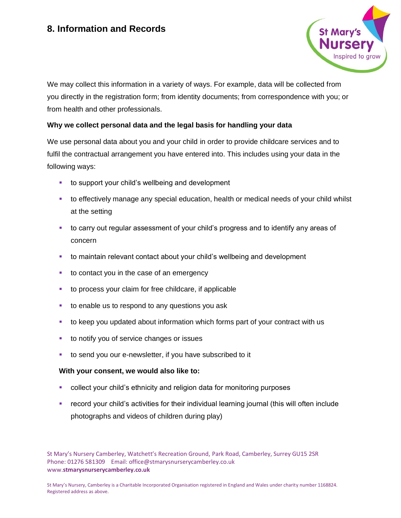

We may collect this information in a variety of ways. For example, data will be collected from you directly in the registration form; from identity documents; from correspondence with you; or from health and other professionals.

#### **Why we collect personal data and the legal basis for handling your data**

We use personal data about you and your child in order to provide childcare services and to fulfil the contractual arrangement you have entered into. This includes using your data in the following ways:

- to support your child's wellbeing and development
- to effectively manage any special education, health or medical needs of your child whilst at the setting
- **•** to carry out regular assessment of your child's progress and to identify any areas of concern
- to maintain relevant contact about your child's wellbeing and development
- to contact you in the case of an emergency
- to process your claim for free childcare, if applicable
- to enable us to respond to any questions you ask
- to keep you updated about information which forms part of your contract with us
- to notify you of service changes or issues
- to send you our e-newsletter, if you have subscribed to it

#### **With your consent, we would also like to:**

- collect your child's ethnicity and religion data for monitoring purposes
- record your child's activities for their individual learning journal (this will often include photographs and videos of children during play)

St Mary's Nursery Camberley, Watchett's Recreation Ground, Park Road, Camberley, Surrey GU15 2SR Phone: 01276 581309 Email: office@stmarysnurserycamberley.co.uk www.**stmarysnurserycamberley.co.uk**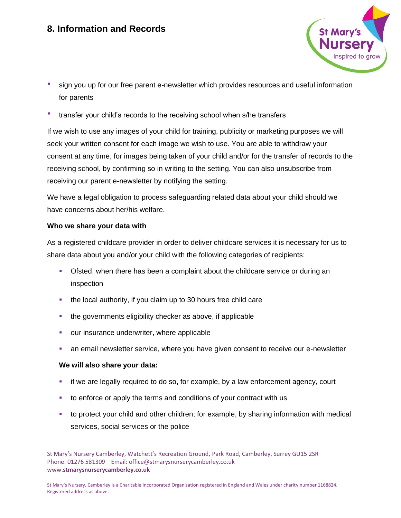

- sign you up for our free parent e-newsletter which provides resources and useful information for parents
- transfer your child's records to the receiving school when s/he transfers

If we wish to use any images of your child for training, publicity or marketing purposes we will seek your written consent for each image we wish to use. You are able to withdraw your consent at any time, for images being taken of your child and/or for the transfer of records to the receiving school, by confirming so in writing to the setting. You can also unsubscribe from receiving our parent e-newsletter by notifying the setting.

We have a legal obligation to process safeguarding related data about your child should we have concerns about her/his welfare.

## **Who we share your data with**

As a registered childcare provider in order to deliver childcare services it is necessary for us to share data about you and/or your child with the following categories of recipients:

- **Ofsted, when there has been a complaint about the childcare service or during an** inspection
- the local authority, if you claim up to 30 hours free child care
- the governments eligibility checker as above, if applicable
- our insurance underwriter, where applicable
- an email newsletter service, where you have given consent to receive our e-newsletter

## **We will also share your data:**

- if we are legally required to do so, for example, by a law enforcement agency, court
- to enforce or apply the terms and conditions of your contract with us
- to protect your child and other children; for example, by sharing information with medical services, social services or the police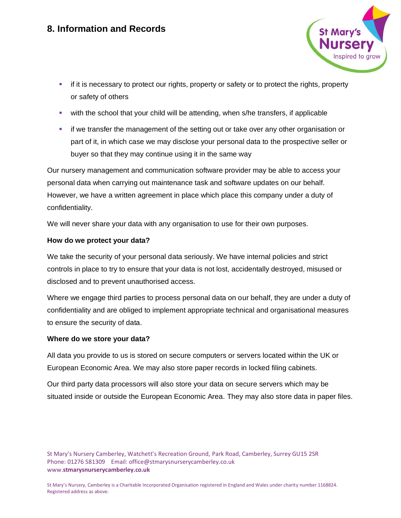

- if it is necessary to protect our rights, property or safety or to protect the rights, property or safety of others
- with the school that your child will be attending, when s/he transfers, if applicable
- **•** if we transfer the management of the setting out or take over any other organisation or part of it, in which case we may disclose your personal data to the prospective seller or buyer so that they may continue using it in the same way

Our nursery management and communication software provider may be able to access your personal data when carrying out maintenance task and software updates on our behalf. However, we have a written agreement in place which place this company under a duty of confidentiality.

We will never share your data with any organisation to use for their own purposes.

## **How do we protect your data?**

We take the security of your personal data seriously. We have internal policies and strict controls in place to try to ensure that your data is not lost, accidentally destroyed, misused or disclosed and to prevent unauthorised access.

Where we engage third parties to process personal data on our behalf, they are under a duty of confidentiality and are obliged to implement appropriate technical and organisational measures to ensure the security of data.

#### **Where do we store your data?**

All data you provide to us is stored on secure computers or servers located within the UK or European Economic Area. We may also store paper records in locked filing cabinets.

Our third party data processors will also store your data on secure servers which may be situated inside or outside the European Economic Area. They may also store data in paper files.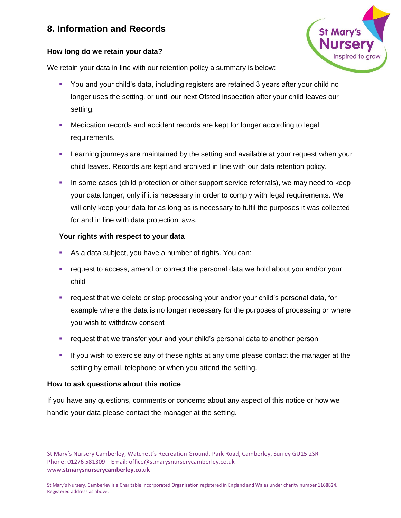

## **How long do we retain your data?**

We retain your data in line with our retention policy a summary is below:

- You and your child's data, including registers are retained 3 years after your child no longer uses the setting, or until our next Ofsted inspection after your child leaves our setting.
- Medication records and accident records are kept for longer according to legal requirements.
- **EXECT** Learning journeys are maintained by the setting and available at your request when your child leaves. Records are kept and archived in line with our data retention policy.
- **In some cases (child protection or other support service referrals), we may need to keep** your data longer, only if it is necessary in order to comply with legal requirements. We will only keep your data for as long as is necessary to fulfil the purposes it was collected for and in line with data protection laws.

## **Your rights with respect to your data**

- As a data subject, you have a number of rights. You can:
- request to access, amend or correct the personal data we hold about you and/or your child
- **•** request that we delete or stop processing your and/or your child's personal data, for example where the data is no longer necessary for the purposes of processing or where you wish to withdraw consent
- **EXED** request that we transfer your and your child's personal data to another person
- **.** If you wish to exercise any of these rights at any time please contact the manager at the setting by email, telephone or when you attend the setting.

#### **How to ask questions about this notice**

If you have any questions, comments or concerns about any aspect of this notice or how we handle your data please contact the manager at the setting.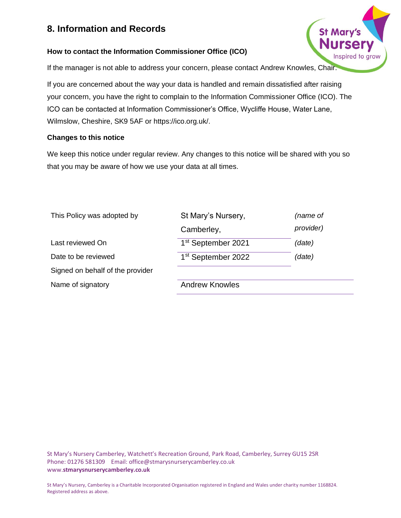#### **How to contact the Information Commissioner Office (ICO)**

If the manager is not able to address your concern, please contact Andrew Knowles, Chair.

If you are concerned about the way your data is handled and remain dissatisfied after raising your concern, you have the right to complain to the Information Commissioner Office (ICO). The ICO can be contacted at Information Commissioner's Office, Wycliffe House, Water Lane, Wilmslow, Cheshire, SK9 5AF or https://ico.org.uk/.

St Mary

Inspired to grov

#### **Changes to this notice**

We keep this notice under regular review. Any changes to this notice will be shared with you so that you may be aware of how we use your data at all times.

| This Policy was adopted by       | St Mary's Nursery,             | (name of  |
|----------------------------------|--------------------------------|-----------|
|                                  | Camberley,                     | provider) |
| Last reviewed On                 | 1 <sup>st</sup> September 2021 | (date)    |
| Date to be reviewed              | 1 <sup>st</sup> September 2022 | (date)    |
| Signed on behalf of the provider |                                |           |
| Name of signatory                | <b>Andrew Knowles</b>          |           |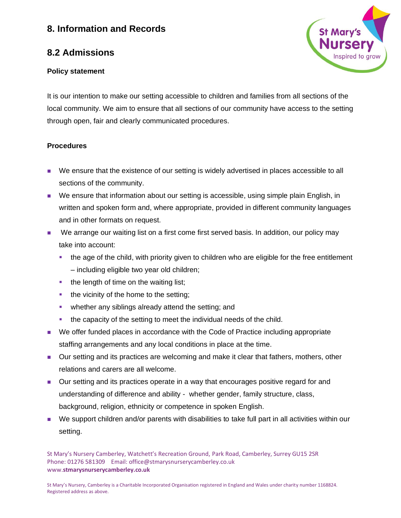## **8.2 Admissions**

#### **Policy statement**



It is our intention to make our setting accessible to children and families from all sections of the local community. We aim to ensure that all sections of our community have access to the setting through open, fair and clearly communicated procedures.

## **Procedures**

- We ensure that the existence of our setting is widely advertised in places accessible to all sections of the community.
- We ensure that information about our setting is accessible, using simple plain English, in written and spoken form and, where appropriate, provided in different community languages and in other formats on request.
- We arrange our waiting list on a first come first served basis. In addition, our policy may take into account:
	- the age of the child, with priority given to children who are eligible for the free entitlement – including eligible two year old children;
	- the length of time on the waiting list;
	- **the vicinity of the home to the setting;**
	- whether any siblings already attend the setting; and
	- the capacity of the setting to meet the individual needs of the child.
- We offer funded places in accordance with the Code of Practice including appropriate staffing arrangements and any local conditions in place at the time.
- Our setting and its practices are welcoming and make it clear that fathers, mothers, other relations and carers are all welcome.
- Our setting and its practices operate in a way that encourages positive regard for and understanding of difference and ability - whether gender, family structure, class, background, religion, ethnicity or competence in spoken English.
- We support children and/or parents with disabilities to take full part in all activities within our setting.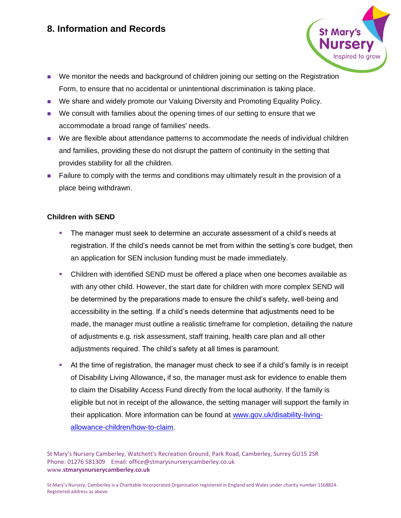- 
- We monitor the needs and background of children joining our setting on the Registration Form, to ensure that no accidental or unintentional discrimination is taking place.
- We share and widely promote our Valuing Diversity and Promoting Equality Policy.
- We consult with families about the opening times of our setting to ensure that we accommodate a broad range of families' needs.
- We are flexible about attendance patterns to accommodate the needs of individual children and families, providing these do not disrupt the pattern of continuity in the setting that provides stability for all the children.
- Failure to comply with the terms and conditions may ultimately result in the provision of a place being withdrawn.

## **Children with SEND**

- **The manager must seek to determine an accurate assessment of a child's needs at** registration. If the child's needs cannot be met from within the setting's core budget, then an application for SEN inclusion funding must be made immediately.
- Children with identified SEND must be offered a place when one becomes available as with any other child. However, the start date for children with more complex SEND will be determined by the preparations made to ensure the child's safety, well-being and accessibility in the setting. If a child's needs determine that adjustments need to be made, the manager must outline a realistic timeframe for completion, detailing the nature of adjustments e.g. risk assessment, staff training, health care plan and all other adjustments required. The child's safety at all times is paramount.
- **EXECT At the time of registration, the manager must check to see if a child's family is in receipt** of Disability Living Allowance**,** if so, the manager must ask for evidence to enable them to claim the Disability Access Fund directly from the local authority. If the family is eligible but not in receipt of the allowance, the setting manager will support the family in their application. More information can be found at [www.gov.uk/disability-living](http://www.gov.uk/disability-living-allowance-children/how-to-claim)[allowance-children/how-to-claim.](http://www.gov.uk/disability-living-allowance-children/how-to-claim)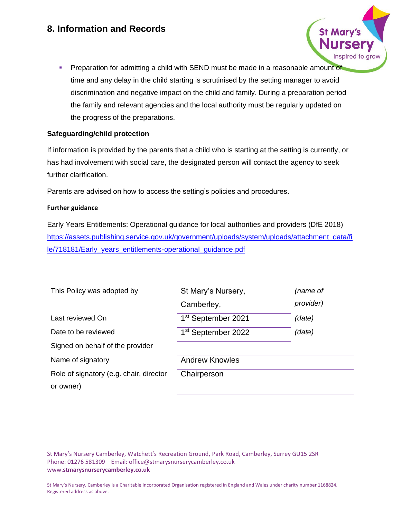**• Preparation for admitting a child with SEND must be made in a reasonable amount of** time and any delay in the child starting is scrutinised by the setting manager to avoid discrimination and negative impact on the child and family. During a preparation period the family and relevant agencies and the local authority must be regularly updated on the progress of the preparations.

#### **Safeguarding/child protection**

If information is provided by the parents that a child who is starting at the setting is currently, or has had involvement with social care, the designated person will contact the agency to seek further clarification.

Parents are advised on how to access the setting's policies and procedures.

#### **Further guidance**

Early Years Entitlements: Operational guidance for local authorities and providers (DfE 2018) [https://assets.publishing.service.gov.uk/government/uploads/system/uploads/attachment\\_data/fi](https://assets.publishing.service.gov.uk/government/uploads/system/uploads/attachment_data/file/718181/Early_years_entitlements-operational_guidance.pdf) [le/718181/Early\\_years\\_entitlements-operational\\_guidance.pdf](https://assets.publishing.service.gov.uk/government/uploads/system/uploads/attachment_data/file/718181/Early_years_entitlements-operational_guidance.pdf)

| This Policy was adopted by              | St Mary's Nursery,<br>Camberley, | (name of<br>provider) |
|-----------------------------------------|----------------------------------|-----------------------|
| Last reviewed On                        | 1 <sup>st</sup> September 2021   | (date)                |
| Date to be reviewed                     | 1 <sup>st</sup> September 2022   | (date)                |
| Signed on behalf of the provider        |                                  |                       |
| Name of signatory                       | <b>Andrew Knowles</b>            |                       |
| Role of signatory (e.g. chair, director | Chairperson                      |                       |
| or owner)                               |                                  |                       |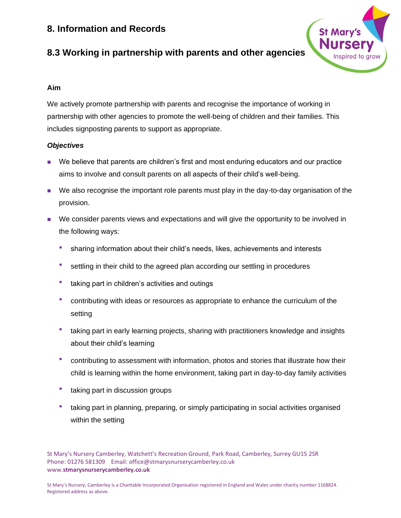

# **8.3 Working in partnership with parents and other agencies**

## **Aim**

We actively promote partnership with parents and recognise the importance of working in partnership with other agencies to promote the well-being of children and their families. This includes signposting parents to support as appropriate.

## *Objectives*

- We believe that parents are children's first and most enduring educators and our practice aims to involve and consult parents on all aspects of their child's well-being.
- We also recognise the important role parents must play in the day-to-day organisation of the provision.
- We consider parents views and expectations and will give the opportunity to be involved in the following ways:
	- sharing information about their child's needs, likes, achievements and interests
	- <sup>■</sup> settling in their child to the agreed plan according our settling in procedures
	- **taking part in children's activities and outings**
	- contributing with ideas or resources as appropriate to enhance the curriculum of the setting
	- taking part in early learning projects, sharing with practitioners knowledge and insights about their child's learning
	- contributing to assessment with information, photos and stories that illustrate how their child is learning within the home environment, taking part in day-to-day family activities
	- taking part in discussion groups
	- taking part in planning, preparing, or simply participating in social activities organised within the setting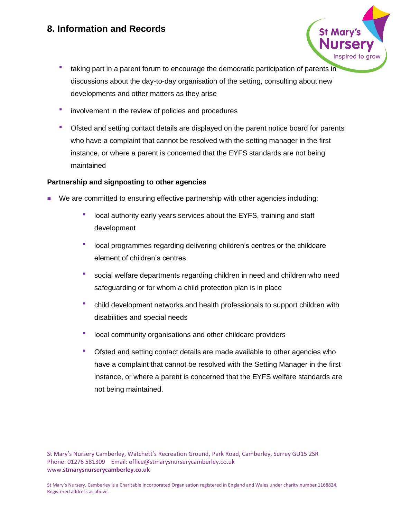- taking part in a parent forum to encourage the democratic participation of parents in discussions about the day-to-day organisation of the setting, consulting about new developments and other matters as they arise
- **•** involvement in the review of policies and procedures
- Ofsted and setting contact details are displayed on the parent notice board for parents who have a complaint that cannot be resolved with the setting manager in the first instance, or where a parent is concerned that the EYFS standards are not being maintained

#### **Partnership and signposting to other agencies**

- We are committed to ensuring effective partnership with other agencies including:
	- local authority early years services about the EYFS, training and staff development
	- local programmes regarding delivering children's centres or the childcare element of children's centres
	- social welfare departments regarding children in need and children who need safeguarding or for whom a child protection plan is in place
	- child development networks and health professionals to support children with disabilities and special needs
	- local community organisations and other childcare providers
	- Ofsted and setting contact details are made available to other agencies who have a complaint that cannot be resolved with the Setting Manager in the first instance, or where a parent is concerned that the EYFS welfare standards are not being maintained.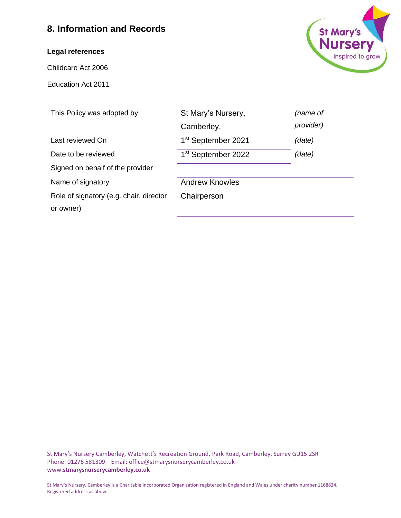#### **Legal references**

Childcare Act 2006

Education Act 2011



| This Policy was adopted by              | St Mary's Nursery,             | (name of  |
|-----------------------------------------|--------------------------------|-----------|
|                                         | Camberley,                     | provider) |
| Last reviewed On                        | 1 <sup>st</sup> September 2021 | (date)    |
| Date to be reviewed                     | 1 <sup>st</sup> September 2022 | (date)    |
| Signed on behalf of the provider        |                                |           |
| Name of signatory                       | <b>Andrew Knowles</b>          |           |
| Role of signatory (e.g. chair, director | Chairperson                    |           |
| or owner)                               |                                |           |
|                                         |                                |           |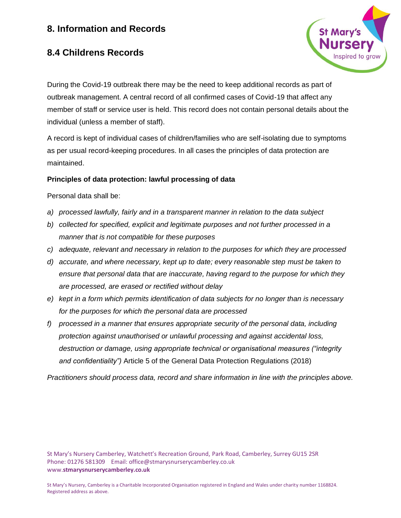# **8.4 Childrens Records**



During the Covid-19 outbreak there may be the need to keep additional records as part of outbreak management. A central record of all confirmed cases of Covid-19 that affect any member of staff or service user is held. This record does not contain personal details about the individual (unless a member of staff).

A record is kept of individual cases of children/families who are self-isolating due to symptoms as per usual record-keeping procedures. In all cases the principles of data protection are maintained.

#### **Principles of data protection: lawful processing of data**

Personal data shall be:

- *a) processed lawfully, fairly and in a transparent manner in relation to the data subject*
- *b) collected for specified, explicit and legitimate purposes and not further processed in a manner that is not compatible for these purposes*
- *c) adequate, relevant and necessary in relation to the purposes for which they are processed*
- *d) accurate, and where necessary, kept up to date; every reasonable step must be taken to ensure that personal data that are inaccurate, having regard to the purpose for which they are processed, are erased or rectified without delay*
- *e) kept in a form which permits identification of data subjects for no longer than is necessary for the purposes for which the personal data are processed*
- *f) processed in a manner that ensures appropriate security of the personal data, including protection against unauthorised or unlawful processing and against accidental loss, destruction or damage, using appropriate technical or organisational measures ("integrity and confidentiality")* Article 5 of the General Data Protection Regulations (2018)

*Practitioners should process data, record and share information in line with the principles above.*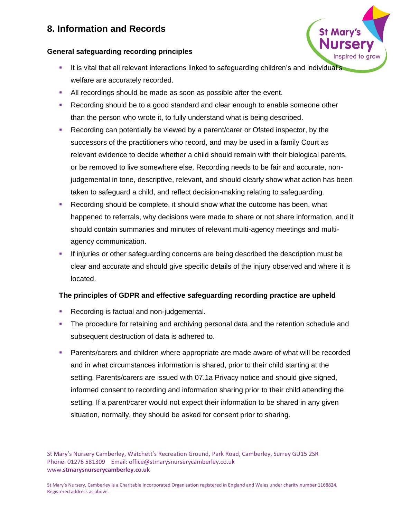#### **General safeguarding recording principles**

- It is vital that all relevant interactions linked to safeguarding children's and individual's welfare are accurately recorded.
- All recordings should be made as soon as possible after the event.
- Recording should be to a good standard and clear enough to enable someone other than the person who wrote it, to fully understand what is being described.
- **EXECORDIMED CAN DETER IN A LOCART CORROR IN A LOCART CORROR** FORCIO CORROR CORROR CORROR FORCIO FOR SUPPOSE REPORTION. IN the Recording can potentially be viewed by a parent/carer or Ofsted inspector, by the successors of the practitioners who record, and may be used in a family Court as relevant evidence to decide whether a child should remain with their biological parents, or be removed to live somewhere else. Recording needs to be fair and accurate, nonjudgemental in tone, descriptive, relevant, and should clearly show what action has been taken to safeguard a child, and reflect decision-making relating to safeguarding.
- Recording should be complete, it should show what the outcome has been, what happened to referrals, why decisions were made to share or not share information, and it should contain summaries and minutes of relevant multi-agency meetings and multiagency communication.
- If injuries or other safeguarding concerns are being described the description must be clear and accurate and should give specific details of the injury observed and where it is located.

#### **The principles of GDPR and effective safeguarding recording practice are upheld**

- Recording is factual and non-judgemental.
- **•** The procedure for retaining and archiving personal data and the retention schedule and subsequent destruction of data is adhered to.
- **Parents/carers and children where appropriate are made aware of what will be recorded** and in what circumstances information is shared, prior to their child starting at the setting. Parents/carers are issued with 07.1a Privacy notice and should give signed, informed consent to recording and information sharing prior to their child attending the setting. If a parent/carer would not expect their information to be shared in any given situation, normally, they should be asked for consent prior to sharing.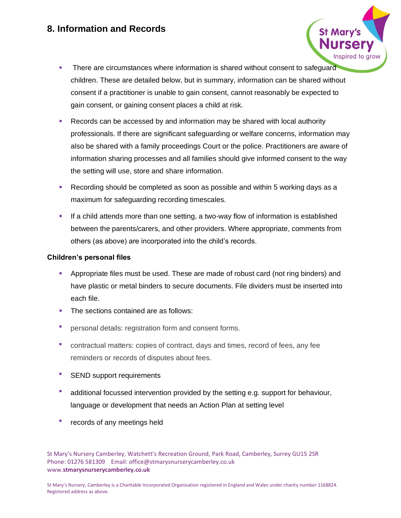- **•** There are circumstances where information is shared without consent to safeguard children. These are detailed below, but in summary, information can be shared without consent if a practitioner is unable to gain consent, cannot reasonably be expected to gain consent, or gaining consent places a child at risk.
- Records can be accessed by and information may be shared with local authority professionals. If there are significant safeguarding or welfare concerns, information may also be shared with a family proceedings Court or the police. Practitioners are aware of information sharing processes and all families should give informed consent to the way the setting will use, store and share information.
- Recording should be completed as soon as possible and within 5 working days as a maximum for safeguarding recording timescales.
- **.** If a child attends more than one setting, a two-way flow of information is established between the parents/carers, and other providers. Where appropriate, comments from others (as above) are incorporated into the child's records.

#### **Children's personal files**

- **•** Appropriate files must be used. These are made of robust card (not ring binders) and have plastic or metal binders to secure documents. File dividers must be inserted into each file.
- The sections contained are as follows:
- **•** personal details: registration form and consent forms.
- contractual matters: copies of contract, days and times, record of fees, any fee reminders or records of disputes about fees.
- **SEND support requirements**
- **■** additional focussed intervention provided by the setting e.g. support for behaviour, language or development that needs an Action Plan at setting level
- **•** records of any meetings held

St Mary's Nursery Camberley, Watchett's Recreation Ground, Park Road, Camberley, Surrey GU15 2SR Phone: 01276 581309 Email: office@stmarysnurserycamberley.co.uk www.**stmarysnurserycamberley.co.uk**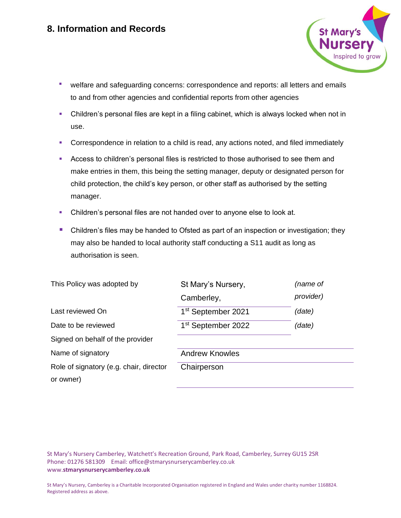

- welfare and safeguarding concerns: correspondence and reports: all letters and emails to and from other agencies and confidential reports from other agencies
- Children's personal files are kept in a filing cabinet, which is always locked when not in use.
- Correspondence in relation to a child is read, any actions noted, and filed immediately
- Access to children's personal files is restricted to those authorised to see them and make entries in them, this being the setting manager, deputy or designated person for child protection, the child's key person, or other staff as authorised by the setting manager.
- Children's personal files are not handed over to anyone else to look at.
- Children's files may be handed to Ofsted as part of an inspection or investigation; they may also be handed to local authority staff conducting a S11 audit as long as authorisation is seen.

| This Policy was adopted by              | St Mary's Nursery,             | (name of  |
|-----------------------------------------|--------------------------------|-----------|
|                                         | Camberley,                     | provider) |
| Last reviewed On                        | 1 <sup>st</sup> September 2021 | (date)    |
| Date to be reviewed                     | 1 <sup>st</sup> September 2022 | (date)    |
| Signed on behalf of the provider        |                                |           |
| Name of signatory                       | <b>Andrew Knowles</b>          |           |
| Role of signatory (e.g. chair, director | Chairperson                    |           |
| or owner)                               |                                |           |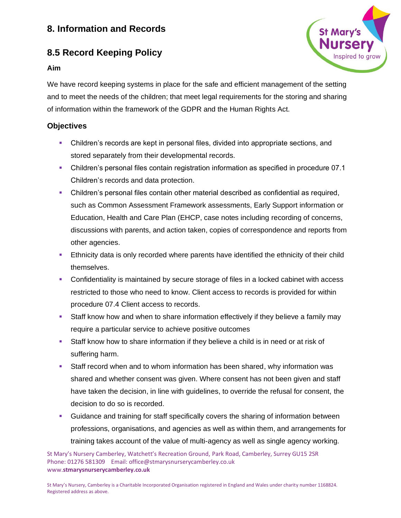# **8.5 Record Keeping Policy**

#### **Aim**



We have record keeping systems in place for the safe and efficient management of the setting and to meet the needs of the children; that meet legal requirements for the storing and sharing of information within the framework of the GDPR and the Human Rights Act.

## **Objectives**

- **•** Children's records are kept in personal files, divided into appropriate sections, and stored separately from their developmental records.
- Children's personal files contain registration information as specified in procedure 07.1 Children's records and data protection.
- **•** Children's personal files contain other material described as confidential as required, such as Common Assessment Framework assessments, Early Support information or Education, Health and Care Plan (EHCP, case notes including recording of concerns, discussions with parents, and action taken, copies of correspondence and reports from other agencies.
- **Ethnicity data is only recorded where parents have identified the ethnicity of their child** themselves.
- **•** Confidentiality is maintained by secure storage of files in a locked cabinet with access restricted to those who need to know. Client access to records is provided for within procedure 07.4 Client access to records.
- **EXECT** Staff know how and when to share information effectively if they believe a family may require a particular service to achieve positive outcomes
- **EXECT** Staff know how to share information if they believe a child is in need or at risk of suffering harm.
- **EXECT** Staff record when and to whom information has been shared, why information was shared and whether consent was given. Where consent has not been given and staff have taken the decision, in line with guidelines, to override the refusal for consent, the decision to do so is recorded.
- **■** Guidance and training for staff specifically covers the sharing of information between professions, organisations, and agencies as well as within them, and arrangements for training takes account of the value of multi-agency as well as single agency working.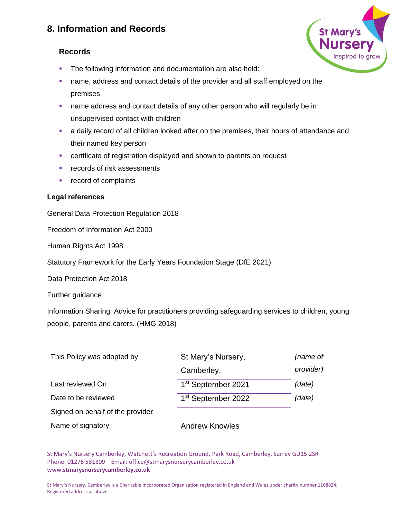## **Records**

- **The following information and documentation are also held:**
- **•** name, address and contact details of the provider and all staff employed on the premises
- name address and contact details of any other person who will regularly be in unsupervised contact with children
- **•** a daily record of all children looked after on the premises, their hours of attendance and their named key person
- certificate of registration displayed and shown to parents on request
- records of risk assessments
- record of complaints

#### **Legal references**

General Data Protection Regulation 2018

Freedom of Information Act 2000

Human Rights Act 1998

Statutory Framework for the Early Years Foundation Stage (DfE 2021)

Data Protection Act 2018

Further guidance

Information Sharing: Advice for practitioners providing safeguarding services to children, young people, parents and carers. (HMG 2018)

| This Policy was adopted by       | St Mary's Nursery,             | (name of  |
|----------------------------------|--------------------------------|-----------|
|                                  | Camberley,                     | provider) |
| Last reviewed On                 | 1 <sup>st</sup> September 2021 | (date)    |
| Date to be reviewed              | 1 <sup>st</sup> September 2022 | (date)    |
| Signed on behalf of the provider |                                |           |
| Name of signatory                | <b>Andrew Knowles</b>          |           |

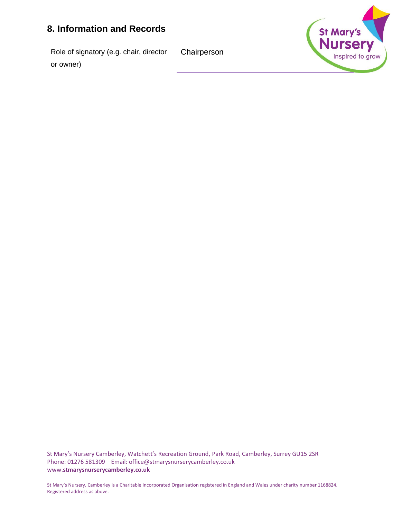Role of signatory (e.g. chair, director or owner)

**Chairperson** 

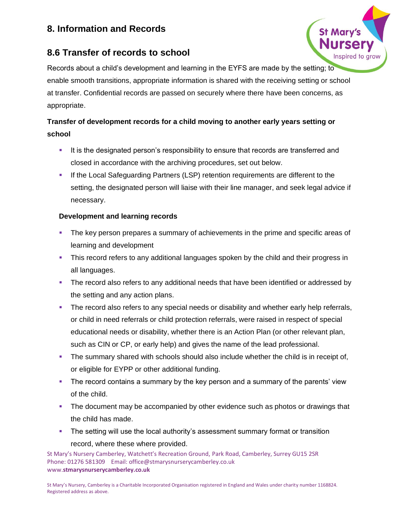# **8.6 Transfer of records to school**



Records about a child's development and learning in the EYFS are made by the setting; to enable smooth transitions, appropriate information is shared with the receiving setting or school at transfer. Confidential records are passed on securely where there have been concerns, as appropriate.

# **Transfer of development records for a child moving to another early years setting or school**

- **.** It is the designated person's responsibility to ensure that records are transferred and closed in accordance with the archiving procedures, set out below.
- **■** If the Local Safeguarding Partners (LSP) retention requirements are different to the setting, the designated person will liaise with their line manager, and seek legal advice if necessary.

## **Development and learning records**

- **The key person prepares a summary of achievements in the prime and specific areas of** learning and development
- **•** This record refers to any additional languages spoken by the child and their progress in all languages.
- **•** The record also refers to any additional needs that have been identified or addressed by the setting and any action plans.
- **•** The record also refers to any special needs or disability and whether early help referrals, or child in need referrals or child protection referrals, were raised in respect of special educational needs or disability, whether there is an Action Plan (or other relevant plan, such as CIN or CP, or early help) and gives the name of the lead professional.
- **•** The summary shared with schools should also include whether the child is in receipt of, or eligible for EYPP or other additional funding.
- **•** The record contains a summary by the key person and a summary of the parents' view of the child.
- **The document may be accompanied by other evidence such as photos or drawings that** the child has made.
- **•** The setting will use the local authority's assessment summary format or transition record, where these where provided.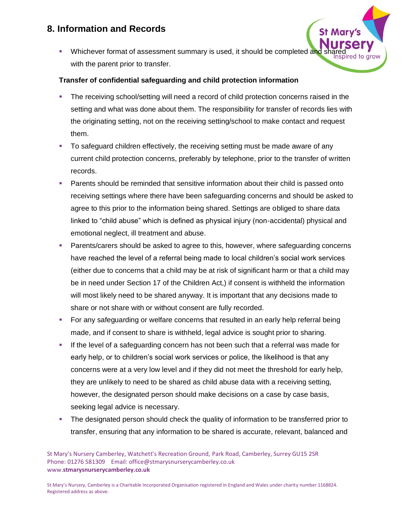**•** Whichever format of assessment summary is used, it should be completed an with the parent prior to transfer.

#### **Transfer of confidential safeguarding and child protection information**

- The receiving school/setting will need a record of child protection concerns raised in the setting and what was done about them. The responsibility for transfer of records lies with the originating setting, not on the receiving setting/school to make contact and request them.
- To safeguard children effectively, the receiving setting must be made aware of any current child protection concerns, preferably by telephone, prior to the transfer of written records.
- Parents should be reminded that sensitive information about their child is passed onto receiving settings where there have been safeguarding concerns and should be asked to agree to this prior to the information being shared. Settings are obliged to share data linked to "child abuse" which is defined as physical injury (non-accidental) physical and emotional neglect, ill treatment and abuse.
- Parents/carers should be asked to agree to this, however, where safeguarding concerns have reached the level of a referral being made to local children's social work services (either due to concerns that a child may be at risk of significant harm or that a child may be in need under Section 17 of the Children Act,) if consent is withheld the information will most likely need to be shared anyway. It is important that any decisions made to share or not share with or without consent are fully recorded.
- **For any safeguarding or welfare concerns that resulted in an early help referral being** made, and if consent to share is withheld, legal advice is sought prior to sharing.
- If the level of a safeguarding concern has not been such that a referral was made for early help, or to children's social work services or police, the likelihood is that any concerns were at a very low level and if they did not meet the threshold for early help, they are unlikely to need to be shared as child abuse data with a receiving setting, however, the designated person should make decisions on a case by case basis, seeking legal advice is necessary.
- **•** The designated person should check the quality of information to be transferred prior to transfer, ensuring that any information to be shared is accurate, relevant, balanced and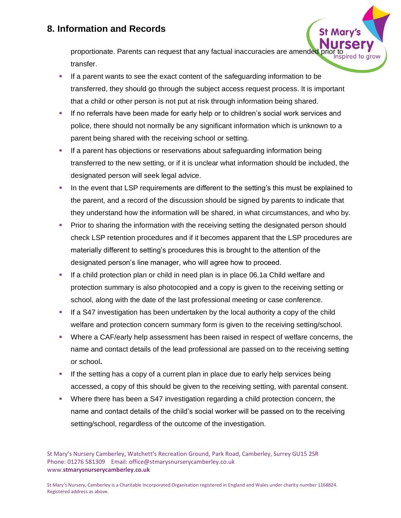proportionate. Parents can request that any factual inaccuracies are amended transfer.

- If a parent wants to see the exact content of the safeguarding information to be transferred, they should go through the subject access request process. It is important that a child or other person is not put at risk through information being shared.
- **.** If no referrals have been made for early help or to children's social work services and police, there should not normally be any significant information which is unknown to a parent being shared with the receiving school or setting.
- **EXECT** If a parent has objections or reservations about safeguarding information being transferred to the new setting, or if it is unclear what information should be included, the designated person will seek legal advice.
- **.** In the event that LSP requirements are different to the setting's this must be explained to the parent, and a record of the discussion should be signed by parents to indicate that they understand how the information will be shared, in what circumstances, and who by.
- **•** Prior to sharing the information with the receiving setting the designated person should check LSP retention procedures and if it becomes apparent that the LSP procedures are materially different to setting's procedures this is brought to the attention of the designated person's line manager, who will agree how to proceed.
- If a child protection plan or child in need plan is in place 06.1a Child welfare and protection summary is also photocopied and a copy is given to the receiving setting or school, along with the date of the last professional meeting or case conference.
- **.** If a S47 investigation has been undertaken by the local authority a copy of the child welfare and protection concern summary form is given to the receiving setting/school.
- **Where a CAF/early help assessment has been raised in respect of welfare concerns, the** name and contact details of the lead professional are passed on to the receiving setting or school**.**
- **.** If the setting has a copy of a current plan in place due to early help services being accessed, a copy of this should be given to the receiving setting, with parental consent.
- **•** Where there has been a S47 investigation regarding a child protection concern, the name and contact details of the child's social worker will be passed on to the receiving setting/school, regardless of the outcome of the investigation.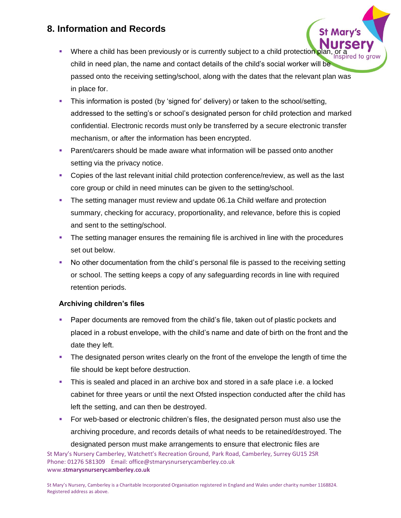- **Where a child has been previously or is currently subject to a child protection plan** child in need plan, the name and contact details of the child's social worker will be passed onto the receiving setting/school, along with the dates that the relevant plan was in place for.
- **•** This information is posted (by 'signed for' delivery) or taken to the school/setting, addressed to the setting's or school's designated person for child protection and marked confidential. Electronic records must only be transferred by a secure electronic transfer mechanism, or after the information has been encrypted.
- **Parent/carers should be made aware what information will be passed onto another** setting via the privacy notice.
- Copies of the last relevant initial child protection conference/review, as well as the last core group or child in need minutes can be given to the setting/school.
- **The setting manager must review and update 06.1a Child welfare and protection** summary, checking for accuracy, proportionality, and relevance, before this is copied and sent to the setting/school.
- **•** The setting manager ensures the remaining file is archived in line with the procedures set out below.
- No other documentation from the child's personal file is passed to the receiving setting or school. The setting keeps a copy of any safeguarding records in line with required retention periods.

## **Archiving children's files**

- Paper documents are removed from the child's file, taken out of plastic pockets and placed in a robust envelope, with the child's name and date of birth on the front and the date they left.
- **•** The designated person writes clearly on the front of the envelope the length of time the file should be kept before destruction.
- **.** This is sealed and placed in an archive box and stored in a safe place i.e. a locked cabinet for three years or until the next Ofsted inspection conducted after the child has left the setting, and can then be destroyed.
- **For web-based or electronic children's files, the designated person must also use the** archiving procedure, and records details of what needs to be retained/destroyed. The

St Mary's Nursery Camberley, Watchett's Recreation Ground, Park Road, Camberley, Surrey GU15 2SR Phone: 01276 581309 Email: office@stmarysnurserycamberley.co.uk www.**stmarysnurserycamberley.co.uk** designated person must make arrangements to ensure that electronic files are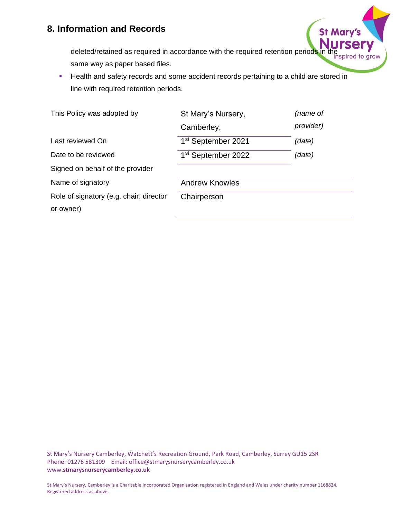

deleted/retained as required in accordance with the required retention periods in the same way as paper based files.

**EXECT** Health and safety records and some accident records pertaining to a child are stored in line with required retention periods.

| St Mary's Nursery,             | (name of  |
|--------------------------------|-----------|
| Camberley,                     | provider) |
| 1 <sup>st</sup> September 2021 | (date)    |
| 1 <sup>st</sup> September 2022 | (date)    |
|                                |           |
| <b>Andrew Knowles</b>          |           |
| Chairperson                    |           |
|                                |           |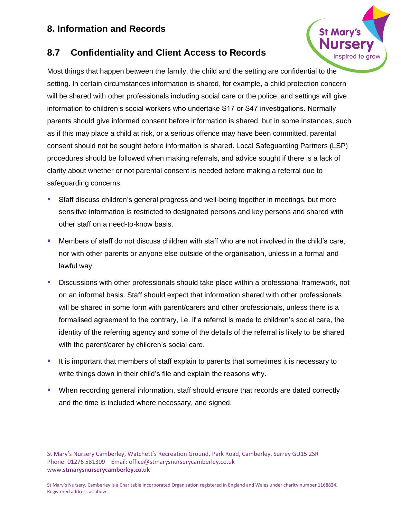## **8.7 Confidentiality and Client Access to Records**

Most things that happen between the family, the child and the setting are confidential to the setting. In certain circumstances information is shared, for example, a child protection concern will be shared with other professionals including social care or the police, and settings will give information to children's social workers who undertake S17 or S47 investigations. Normally parents should give informed consent before information is shared, but in some instances, such as if this may place a child at risk, or a serious offence may have been committed, parental consent should not be sought before information is shared. Local Safeguarding Partners (LSP) procedures should be followed when making referrals, and advice sought if there is a lack of clarity about whether or not parental consent is needed before making a referral due to safeguarding concerns.

- Staff discuss children's general progress and well-being together in meetings, but more sensitive information is restricted to designated persons and key persons and shared with other staff on a need-to-know basis.
- Members of staff do not discuss children with staff who are not involved in the child's care, nor with other parents or anyone else outside of the organisation, unless in a formal and lawful way.
- **E** Discussions with other professionals should take place within a professional framework, not on an informal basis. Staff should expect that information shared with other professionals will be shared in some form with parent/carers and other professionals, unless there is a formalised agreement to the contrary, i.e. if a referral is made to children's social care, the identity of the referring agency and some of the details of the referral is likely to be shared with the parent/carer by children's social care.
- It is important that members of staff explain to parents that sometimes it is necessary to write things down in their child's file and explain the reasons why.
- When recording general information, staff should ensure that records are dated correctly and the time is included where necessary, and signed.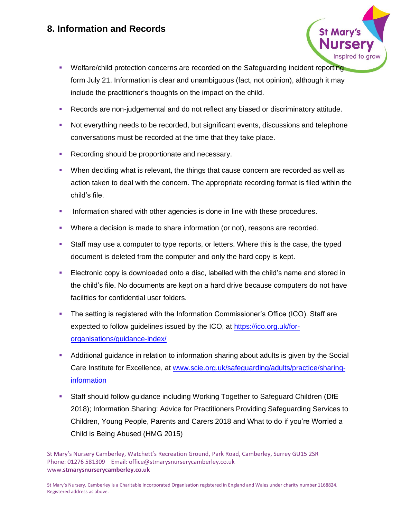- Welfare/child protection concerns are recorded on the Safeguarding incident reporting form July 21. Information is clear and unambiguous (fact, not opinion), although it may include the practitioner's thoughts on the impact on the child.
- Records are non-judgemental and do not reflect any biased or discriminatory attitude.
- Not everything needs to be recorded, but significant events, discussions and telephone conversations must be recorded at the time that they take place.
- Recording should be proportionate and necessary.
- **•** When deciding what is relevant, the things that cause concern are recorded as well as action taken to deal with the concern. The appropriate recording format is filed within the child's file.
- **•** Information shared with other agencies is done in line with these procedures.
- **•** Where a decision is made to share information (or not), reasons are recorded.
- **EXECT** Staff may use a computer to type reports, or letters. Where this is the case, the typed document is deleted from the computer and only the hard copy is kept.
- **Electronic copy is downloaded onto a disc, labelled with the child's name and stored in** the child's file. No documents are kept on a hard drive because computers do not have facilities for confidential user folders.
- The setting is registered with the Information Commissioner's Office (ICO). Staff are expected to follow guidelines issued by the ICO, at [https://ico.org.uk/for](https://ico.org.uk/for-organisations/guidance-index/)[organisations/guidance-index/](https://ico.org.uk/for-organisations/guidance-index/)
- **•** Additional guidance in relation to information sharing about adults is given by the Social Care Institute for Excellence, at [www.scie.org.uk/safeguarding/adults/practice/sharing](http://www.scie.org.uk/safeguarding/adults/practice/sharing-information)[information](http://www.scie.org.uk/safeguarding/adults/practice/sharing-information)
- Staff should follow guidance including Working Together to Safeguard Children (DfE) 2018); Information Sharing: Advice for Practitioners Providing Safeguarding Services to Children, Young People, Parents and Carers 2018 and What to do if you're Worried a Child is Being Abused (HMG 2015)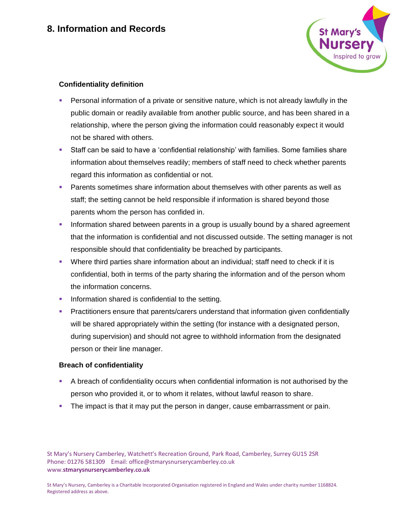

## **Confidentiality definition**

- **•** Personal information of a private or sensitive nature, which is not already lawfully in the public domain or readily available from another public source, and has been shared in a relationship, where the person giving the information could reasonably expect it would not be shared with others.
- Staff can be said to have a 'confidential relationship' with families. Some families share information about themselves readily; members of staff need to check whether parents regard this information as confidential or not.
- **•** Parents sometimes share information about themselves with other parents as well as staff; the setting cannot be held responsible if information is shared beyond those parents whom the person has confided in.
- **.** Information shared between parents in a group is usually bound by a shared agreement that the information is confidential and not discussed outside. The setting manager is not responsible should that confidentiality be breached by participants.
- **•** Where third parties share information about an individual; staff need to check if it is confidential, both in terms of the party sharing the information and of the person whom the information concerns.
- **•** Information shared is confidential to the setting.
- **Practitioners ensure that parents/carers understand that information given confidentially** will be shared appropriately within the setting (for instance with a designated person, during supervision) and should not agree to withhold information from the designated person or their line manager.

#### **Breach of confidentiality**

- **•** A breach of confidentiality occurs when confidential information is not authorised by the person who provided it, or to whom it relates, without lawful reason to share.
- **•** The impact is that it may put the person in danger, cause embarrassment or pain.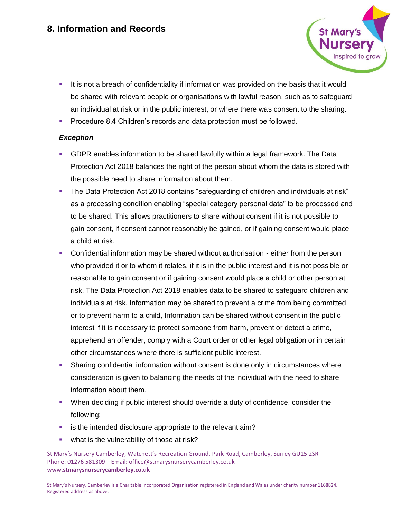

- **.** It is not a breach of confidentiality if information was provided on the basis that it would be shared with relevant people or organisations with lawful reason, such as to safeguard an individual at risk or in the public interest, or where there was consent to the sharing.
- **Procedure 8.4 Children's records and data protection must be followed.**

#### *Exception*

- **GDPR enables information to be shared lawfully within a legal framework. The Data** Protection Act 2018 balances the right of the person about whom the data is stored with the possible need to share information about them.
- The Data Protection Act 2018 contains "safeguarding of children and individuals at risk" as a processing condition enabling "special category personal data" to be processed and to be shared. This allows practitioners to share without consent if it is not possible to gain consent, if consent cannot reasonably be gained, or if gaining consent would place a child at risk.
- Confidential information may be shared without authorisation either from the person who provided it or to whom it relates, if it is in the public interest and it is not possible or reasonable to gain consent or if gaining consent would place a child or other person at risk. The Data Protection Act 2018 enables data to be shared to safeguard children and individuals at risk. Information may be shared to prevent a crime from being committed or to prevent harm to a child, Information can be shared without consent in the public interest if it is necessary to protect someone from harm, prevent or detect a crime, apprehend an offender, comply with a Court order or other legal obligation or in certain other circumstances where there is sufficient public interest.
- **•** Sharing confidential information without consent is done only in circumstances where consideration is given to balancing the needs of the individual with the need to share information about them.
- When deciding if public interest should override a duty of confidence, consider the following:
- **E** is the intended disclosure appropriate to the relevant aim?
- **•** what is the vulnerability of those at risk?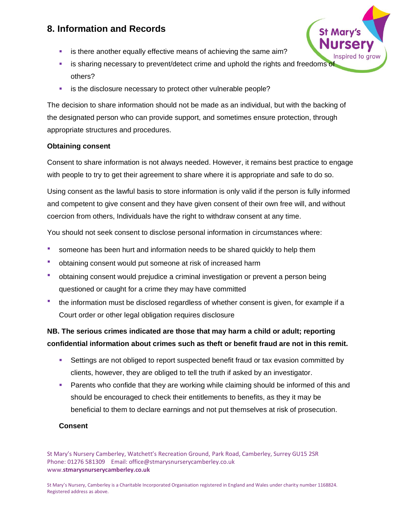- **E** is there another equally effective means of achieving the same aim?
- **EXECT** is sharing necessary to prevent/detect crime and uphold the rights and freedoms of others?
- **E** is the disclosure necessary to protect other vulnerable people?

The decision to share information should not be made as an individual, but with the backing of the designated person who can provide support, and sometimes ensure protection, through appropriate structures and procedures.

## **Obtaining consent**

Consent to share information is not always needed. However, it remains best practice to engage with people to try to get their agreement to share where it is appropriate and safe to do so.

Using consent as the lawful basis to store information is only valid if the person is fully informed and competent to give consent and they have given consent of their own free will, and without coercion from others, Individuals have the right to withdraw consent at any time.

You should not seek consent to disclose personal information in circumstances where:

- **•** someone has been hurt and information needs to be shared quickly to help them
- obtaining consent would put someone at risk of increased harm
- **•** obtaining consent would prejudice a criminal investigation or prevent a person being questioned or caught for a crime they may have committed
- the information must be disclosed regardless of whether consent is given, for example if a Court order or other legal obligation requires disclosure

## **NB. The serious crimes indicated are those that may harm a child or adult; reporting confidential information about crimes such as theft or benefit fraud are not in this remit.**

- **EXECT** Settings are not obliged to report suspected benefit fraud or tax evasion committed by clients, however, they are obliged to tell the truth if asked by an investigator.
- **Parents who confide that they are working while claiming should be informed of this and** should be encouraged to check their entitlements to benefits, as they it may be beneficial to them to declare earnings and not put themselves at risk of prosecution.

#### **Consent**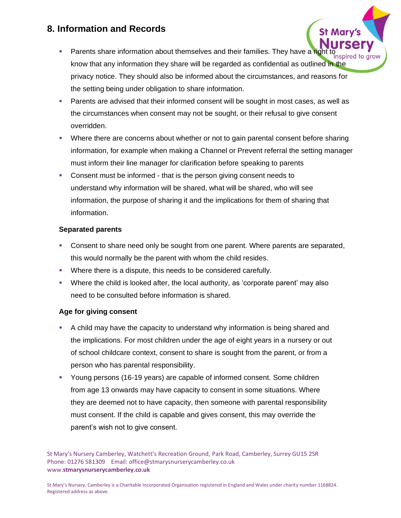- **EXECT** Parents share information about themselves and their families. They have a right to know that any information they share will be regarded as confidential as outlined in the privacy notice. They should also be informed about the circumstances, and reasons for the setting being under obligation to share information.
- **EXECT** Parents are advised that their informed consent will be sought in most cases, as well as the circumstances when consent may not be sought, or their refusal to give consent overridden.
- **•** Where there are concerns about whether or not to gain parental consent before sharing information, for example when making a Channel or Prevent referral the setting manager must inform their line manager for clarification before speaking to parents
- Consent must be informed that is the person giving consent needs to understand why information will be shared, what will be shared, who will see information, the purpose of sharing it and the implications for them of sharing that information.

## **Separated parents**

- **Consent to share need only be sought from one parent. Where parents are separated,** this would normally be the parent with whom the child resides.
- Where there is a dispute, this needs to be considered carefully.
- **•** Where the child is looked after, the local authority, as 'corporate parent' may also need to be consulted before information is shared.

## **Age for giving consent**

- A child may have the capacity to understand why information is being shared and the implications. For most children under the age of eight years in a nursery or out of school childcare context, consent to share is sought from the parent, or from a person who has parental responsibility.
- Young persons (16-19 years) are capable of informed consent. Some children from age 13 onwards may have capacity to consent in some situations. Where they are deemed not to have capacity, then someone with parental responsibility must consent. If the child is capable and gives consent, this may override the parent's wish not to give consent.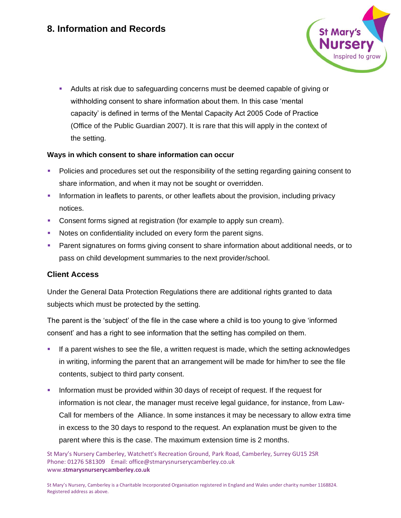

▪ Adults at risk due to safeguarding concerns must be deemed capable of giving or withholding consent to share information about them. In this case 'mental capacity' is defined in terms of the Mental Capacity Act 2005 Code of Practice (Office of the Public Guardian 2007). It is rare that this will apply in the context of the setting.

#### **Ways in which consent to share information can occur**

- Policies and procedures set out the responsibility of the setting regarding gaining consent to share information, and when it may not be sought or overridden.
- **•** Information in leaflets to parents, or other leaflets about the provision, including privacy notices.
- Consent forms signed at registration (for example to apply sun cream).
- Notes on confidentiality included on every form the parent signs.
- Parent signatures on forms giving consent to share information about additional needs, or to pass on child development summaries to the next provider/school.

#### **Client Access**

Under the General Data Protection Regulations there are additional rights granted to data subjects which must be protected by the setting.

The parent is the 'subject' of the file in the case where a child is too young to give 'informed consent' and has a right to see information that the setting has compiled on them.

- If a parent wishes to see the file, a written request is made, which the setting acknowledges in writing, informing the parent that an arrangement will be made for him/her to see the file contents, subject to third party consent.
- Information must be provided within 30 days of receipt of request. If the request for information is not clear, the manager must receive legal guidance, for instance, from Law-Call for members of the Alliance. In some instances it may be necessary to allow extra time in excess to the 30 days to respond to the request. An explanation must be given to the parent where this is the case. The maximum extension time is 2 months.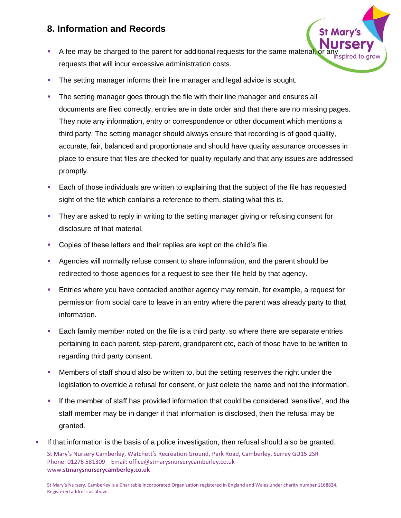- A fee may be charged to the parent for additional requests for the same material, or an requests that will incur excessive administration costs.
- **•** The setting manager informs their line manager and legal advice is sought.
- The setting manager goes through the file with their line manager and ensures all documents are filed correctly, entries are in date order and that there are no missing pages. They note any information, entry or correspondence or other document which mentions a third party. The setting manager should always ensure that recording is of good quality, accurate, fair, balanced and proportionate and should have quality assurance processes in place to ensure that files are checked for quality regularly and that any issues are addressed promptly.
- Each of those individuals are written to explaining that the subject of the file has requested sight of the file which contains a reference to them, stating what this is.
- They are asked to reply in writing to the setting manager giving or refusing consent for disclosure of that material.
- Copies of these letters and their replies are kept on the child's file.
- Agencies will normally refuse consent to share information, and the parent should be redirected to those agencies for a request to see their file held by that agency.
- Entries where you have contacted another agency may remain, for example, a request for permission from social care to leave in an entry where the parent was already party to that information.
- Each family member noted on the file is a third party, so where there are separate entries pertaining to each parent, step-parent, grandparent etc, each of those have to be written to regarding third party consent.
- Members of staff should also be written to, but the setting reserves the right under the legislation to override a refusal for consent, or just delete the name and not the information.
- If the member of staff has provided information that could be considered 'sensitive', and the staff member may be in danger if that information is disclosed, then the refusal may be granted.
- St Mary's Nursery Camberley, Watchett's Recreation Ground, Park Road, Camberley, Surrey GU15 2SR Phone: 01276 581309 Email: office@stmarysnurserycamberley.co.uk www.**stmarysnurserycamberley.co.uk** If that information is the basis of a police investigation, then refusal should also be granted.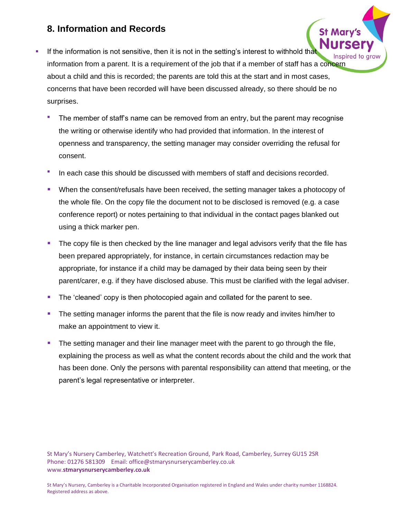- **.** If the information is not sensitive, then it is not in the setting's interest to withhold that information from a parent. It is a requirement of the job that if a member of staff has a concern about a child and this is recorded; the parents are told this at the start and in most cases, concerns that have been recorded will have been discussed already, so there should be no surprises.
	- The member of staff's name can be removed from an entry, but the parent may recognise the writing or otherwise identify who had provided that information. In the interest of openness and transparency, the setting manager may consider overriding the refusal for consent.
	- In each case this should be discussed with members of staff and decisions recorded.
	- When the consent/refusals have been received, the setting manager takes a photocopy of the whole file. On the copy file the document not to be disclosed is removed (e.g. a case conference report) or notes pertaining to that individual in the contact pages blanked out using a thick marker pen.
	- The copy file is then checked by the line manager and legal advisors verify that the file has been prepared appropriately, for instance, in certain circumstances redaction may be appropriate, for instance if a child may be damaged by their data being seen by their parent/carer, e.g. if they have disclosed abuse. This must be clarified with the legal adviser.
	- The 'cleaned' copy is then photocopied again and collated for the parent to see.
	- The setting manager informs the parent that the file is now ready and invites him/her to make an appointment to view it.
	- The setting manager and their line manager meet with the parent to go through the file, explaining the process as well as what the content records about the child and the work that has been done. Only the persons with parental responsibility can attend that meeting, or the parent's legal representative or interpreter.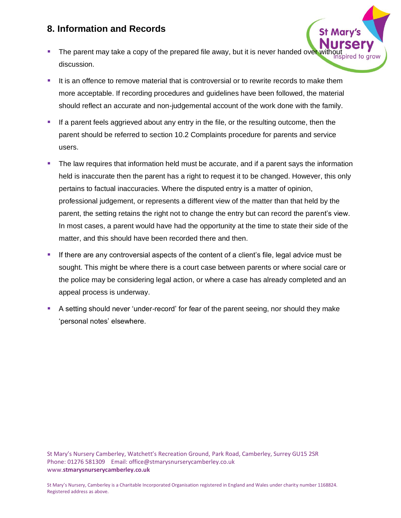- The parent may take a copy of the prepared file away, but it is never handed over without discussion.
- **.** It is an offence to remove material that is controversial or to rewrite records to make them more acceptable. If recording procedures and guidelines have been followed, the material should reflect an accurate and non-judgemental account of the work done with the family.
- **E** If a parent feels aggrieved about any entry in the file, or the resulting outcome, then the parent should be referred to section 10.2 Complaints procedure for parents and service users.
- **•** The law requires that information held must be accurate, and if a parent says the information held is inaccurate then the parent has a right to request it to be changed. However, this only pertains to factual inaccuracies. Where the disputed entry is a matter of opinion, professional judgement, or represents a different view of the matter than that held by the parent, the setting retains the right not to change the entry but can record the parent's view. In most cases, a parent would have had the opportunity at the time to state their side of the matter, and this should have been recorded there and then.
- **EXECT** If there are any controversial aspects of the content of a client's file, legal advice must be sought. This might be where there is a court case between parents or where social care or the police may be considering legal action, or where a case has already completed and an appeal process is underway.
- A setting should never 'under-record' for fear of the parent seeing, nor should they make 'personal notes' elsewhere.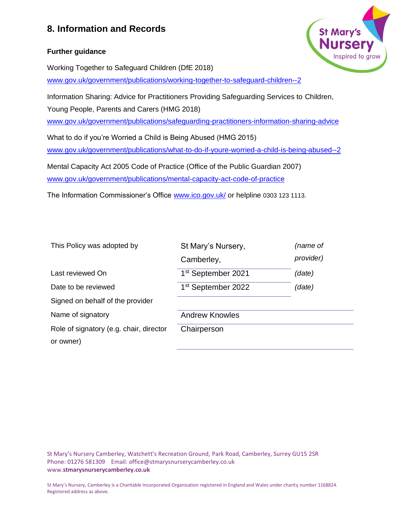#### **Further guidance**



Working Together to Safeguard Children (DfE 2018)

[www.gov.uk/government/publications/working-together-to-safeguard-children--2](http://www.gov.uk/government/publications/working-together-to-safeguard-children--2)

Information Sharing: Advice for Practitioners Providing Safeguarding Services to Children, Young People, Parents and Carers (HMG 2018)

[www.gov.uk/government/publications/safeguarding-practitioners-information-sharing-advice](http://www.gov.uk/government/publications/safeguarding-practitioners-information-sharing-advice)

What to do if you're Worried a Child is Being Abused (HMG 2015) [www.gov.uk/government/publications/what-to-do-if-youre-worried-a-child-is-being-abused--2](http://www.gov.uk/government/publications/what-to-do-if-youre-worried-a-child-is-being-abused--2)

Mental Capacity Act 2005 Code of Practice (Office of the Public Guardian 2007) [www.gov.uk/government/publications/mental-capacity-act-code-of-practice](http://www.gov.uk/government/publications/mental-capacity-act-code-of-practice)

The Information Commissioner's Office [www.ico.gov.uk/](http://www.ico.gov.uk/) or helpline 0303 123 1113.

| provider)<br>Camberley,<br>1 <sup>st</sup> September 2021<br>Last reviewed On<br>(date) |  |
|-----------------------------------------------------------------------------------------|--|
|                                                                                         |  |
|                                                                                         |  |
| 1 <sup>st</sup> September 2022<br>Date to be reviewed<br>(date)                         |  |
| Signed on behalf of the provider                                                        |  |
| Name of signatory<br><b>Andrew Knowles</b>                                              |  |
| Role of signatory (e.g. chair, director<br>Chairperson                                  |  |
| or owner)                                                                               |  |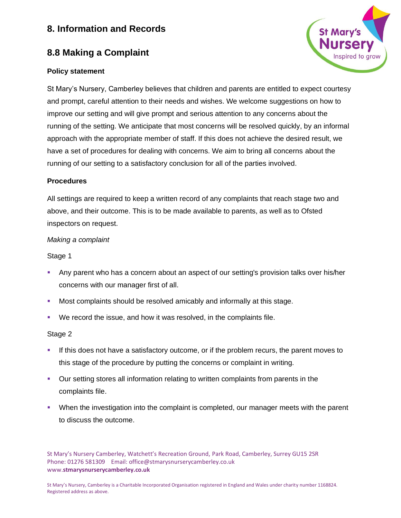# **8.8 Making a Complaint**

## **Policy statement**

St Mary's Nursery, Camberley believes that children and parents are entitled to expect courtesy and prompt, careful attention to their needs and wishes. We welcome suggestions on how to improve our setting and will give prompt and serious attention to any concerns about the running of the setting. We anticipate that most concerns will be resolved quickly, by an informal approach with the appropriate member of staff. If this does not achieve the desired result, we have a set of procedures for dealing with concerns. We aim to bring all concerns about the running of our setting to a satisfactory conclusion for all of the parties involved.

#### **Procedures**

All settings are required to keep a written record of any complaints that reach stage two and above, and their outcome. This is to be made available to parents, as well as to Ofsted inspectors on request.

## *Making a complaint*

## Stage 1

- Any parent who has a concern about an aspect of our setting's provision talks over his/her concerns with our manager first of all.
- Most complaints should be resolved amicably and informally at this stage.
- We record the issue, and how it was resolved, in the complaints file.

#### Stage 2

- **.** If this does not have a satisfactory outcome, or if the problem recurs, the parent moves to this stage of the procedure by putting the concerns or complaint in writing.
- **•** Our setting stores all information relating to written complaints from parents in the complaints file.
- When the investigation into the complaint is completed, our manager meets with the parent to discuss the outcome.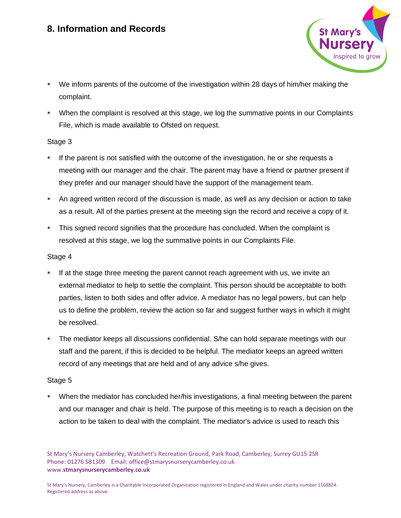

- We inform parents of the outcome of the investigation within 28 days of him/her making the complaint.
- When the complaint is resolved at this stage, we log the summative points in our Complaints File, which is made available to Ofsted on request.

#### Stage 3

- If the parent is not satisfied with the outcome of the investigation, he or she requests a meeting with our manager and the chair. The parent may have a friend or partner present if they prefer and our manager should have the support of the management team.
- An agreed written record of the discussion is made, as well as any decision or action to take as a result. All of the parties present at the meeting sign the record and receive a copy of it.
- This signed record signifies that the procedure has concluded. When the complaint is resolved at this stage, we log the summative points in our Complaints File.

#### Stage 4

- If at the stage three meeting the parent cannot reach agreement with us, we invite an external mediator to help to settle the complaint. This person should be acceptable to both parties, listen to both sides and offer advice. A mediator has no legal powers, but can help us to define the problem, review the action so far and suggest further ways in which it might be resolved.
- **•** The mediator keeps all discussions confidential. S/he can hold separate meetings with our staff and the parent, if this is decided to be helpful. The mediator keeps an agreed written record of any meetings that are held and of any advice s/he gives.

## Stage 5

▪ When the mediator has concluded her/his investigations, a final meeting between the parent and our manager and chair is held. The purpose of this meeting is to reach a decision on the action to be taken to deal with the complaint. The mediator's advice is used to reach this

St Mary's Nursery Camberley, Watchett's Recreation Ground, Park Road, Camberley, Surrey GU15 2SR Phone: 01276 581309 Email: office@stmarysnurserycamberley.co.uk www.**stmarysnurserycamberley.co.uk**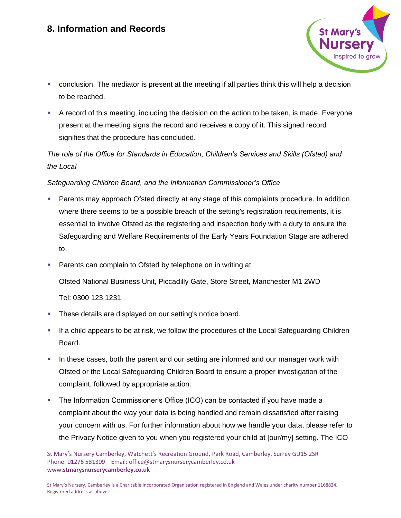

- conclusion. The mediator is present at the meeting if all parties think this will help a decision to be reached.
- A record of this meeting, including the decision on the action to be taken, is made. Everyone present at the meeting signs the record and receives a copy of it. This signed record signifies that the procedure has concluded.

## *The role of the Office for Standards in Education, Children's Services and Skills (Ofsted) and the Local*

## *Safeguarding Children Board, and the Information Commissioner's Office*

- **Parents may approach Ofsted directly at any stage of this complaints procedure. In addition,** where there seems to be a possible breach of the setting's registration requirements, it is essential to involve Ofsted as the registering and inspection body with a duty to ensure the Safeguarding and Welfare Requirements of the Early Years Foundation Stage are adhered to.
- Parents can complain to Ofsted by telephone on in writing at:

Ofsted National Business Unit, Piccadilly Gate, Store Street, Manchester M1 2WD

Tel: 0300 123 1231

- These details are displayed on our setting's notice board.
- If a child appears to be at risk, we follow the procedures of the Local Safeguarding Children Board.
- In these cases, both the parent and our setting are informed and our manager work with Ofsted or the Local Safeguarding Children Board to ensure a proper investigation of the complaint, followed by appropriate action.
- The Information Commissioner's Office (ICO) can be contacted if you have made a complaint about the way your data is being handled and remain dissatisfied after raising your concern with us. For further information about how we handle your data, please refer to the Privacy Notice given to you when you registered your child at [our/my] setting. The ICO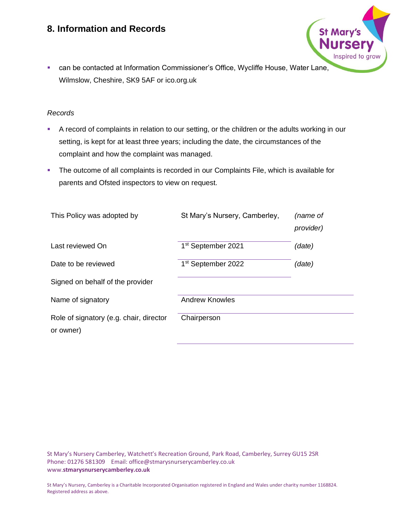■ can be contacted at Information Commissioner's Office, Wycliffe House, Water Lane, Wilmslow, Cheshire, SK9 5AF or ico.org.uk

**St Mary's** 

Inspired to grow

#### *Records*

- A record of complaints in relation to our setting, or the children or the adults working in our setting, is kept for at least three years; including the date, the circumstances of the complaint and how the complaint was managed.
- The outcome of all complaints is recorded in our Complaints File, which is available for parents and Ofsted inspectors to view on request.

| This Policy was adopted by                           | St Mary's Nursery, Camberley,  | (name of<br><i>provider</i> ) |
|------------------------------------------------------|--------------------------------|-------------------------------|
| Last reviewed On                                     | 1 <sup>st</sup> September 2021 | (date)                        |
| Date to be reviewed                                  | 1 <sup>st</sup> September 2022 | (date)                        |
| Signed on behalf of the provider                     |                                |                               |
| Name of signatory                                    | <b>Andrew Knowles</b>          |                               |
| Role of signatory (e.g. chair, director<br>or owner) | Chairperson                    |                               |